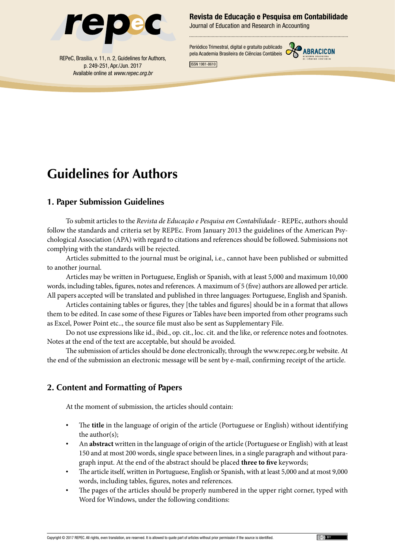

p. 249-251, Apr./Jun. 2017 Available online at *www.repec.org.br* Revista de Educação e Pesquisa em Contabilidade

Journal of Education and Research in Accounting

Periódico Trimestral, digital e gratuito publicado pela Academia Brasileira de Ciências Contábeis REPeC, Brasília, v. 11, n. 2, Guidelines for Authors,



ISSN 1981-8610

# **Guidelines for Authors**

### **1. Paper Submission Guidelines**

To submit articles to the *Revista de Educação e Pesquisa em Contabilidade* - REPEc, authors should follow the standards and criteria set by REPEc. From January 2013 the guidelines of the American Psychological Association (APA) with regard to citations and references should be followed. Submissions not complying with the standards will be rejected.

Articles submitted to the journal must be original, i.e., cannot have been published or submitted to another journal.

Articles may be written in Portuguese, English or Spanish, with at least 5,000 and maximum 10,000 words, including tables, figures, notes and references. A maximum of 5 (five) authors are allowed per article. All papers accepted will be translated and published in three languages: Portuguese, English and Spanish.

Articles containing tables or figures, they [the tables and figures] should be in a format that allows them to be edited. In case some of these Figures or Tables have been imported from other programs such as Excel, Power Point etc.., the source file must also be sent as Supplementary File.

Do not use expressions like id., ibid., op. cit., loc. cit. and the like, or reference notes and footnotes. Notes at the end of the text are acceptable, but should be avoided.

The submission of articles should be done electronically, through the www.repec.org.br website. At the end of the submission an electronic message will be sent by e-mail, confirming receipt of the article.

### **2. Content and Formatting of Papers**

At the moment of submission, the articles should contain:

- The **title** in the language of origin of the article (Portuguese or English) without identifying the author(s);
- An **abstract** written in the language of origin of the article (Portuguese or English) with at least 150 and at most 200 words, single space between lines, in a single paragraph and without paragraph input. At the end of the abstract should be placed **three to five** keywords;
- The article itself, written in Portuguese, English or Spanish, with at least 5,000 and at most 9,000 words, including tables, figures, notes and references.
- The pages of the articles should be properly numbered in the upper right corner, typed with Word for Windows, under the following conditions: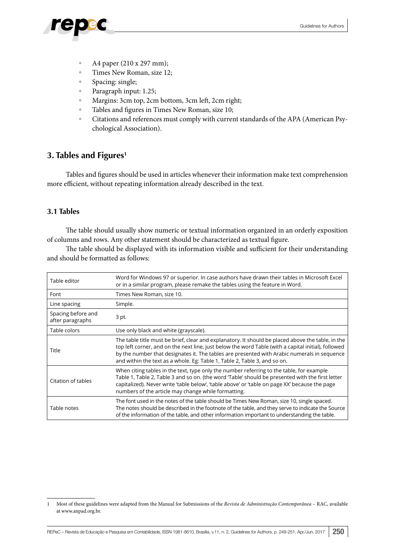- - A4 paper (210 x 297 mm);
	- Times New Roman, size 12;
	- Spacing: single;
	- Paragraph input: 1.25;
	- Margins: 3cm top, 2cm bottom, 3cm left, 2cm right;
	- Tables and figures in Times New Roman, size 10;
	- Citations and references must comply with current standards of the APA (American Psychological Association).

### **3. Tables and Figures1**

Tables and figures should be used in articles whenever their information make text comprehension more efficient, without repeating information already described in the text.

#### **3.1 Tables**

The table should usually show numeric or textual information organized in an orderly exposition of columns and rows. Any other statement should be characterized as textual figure.

The table should be displayed with its information visible and sufficient for their understanding and should be formatted as follows:

| Table editor                           | Word for Windows 97 or superior. In case authors have drawn their tables in Microsoft Excel<br>or in a similar program, please remake the tables using the feature in Word.                                                                                                                                                                                                          |
|----------------------------------------|--------------------------------------------------------------------------------------------------------------------------------------------------------------------------------------------------------------------------------------------------------------------------------------------------------------------------------------------------------------------------------------|
| Font                                   | Times New Roman, size 10.                                                                                                                                                                                                                                                                                                                                                            |
| Line spacing                           | Simple.                                                                                                                                                                                                                                                                                                                                                                              |
| Spacing before and<br>after paragraphs | 3 pt.                                                                                                                                                                                                                                                                                                                                                                                |
| Table colors                           | Use only black and white (grayscale).                                                                                                                                                                                                                                                                                                                                                |
| Title                                  | The table title must be brief, clear and explanatory. It should be placed above the table, in the<br>top left corner, and on the next line, just below the word Table (with a capital initial), followed<br>by the number that designates it. The tables are presented with Arabic numerals in sequence<br>and within the text as a whole. Eg: Table 1, Table 2, Table 3, and so on. |
| Citation of tables                     | When citing tables in the text, type only the number referring to the table, for example<br>Table 1, Table 2, Table 3 and so on. (the word 'Table' should be presented with the first letter<br>capitalized). Never write 'table below', 'table above' or 'table on page XX' because the page<br>numbers of the article may change while formatting.                                 |
| Table notes                            | The font used in the notes of the table should be Times New Roman, size 10, single spaced.<br>The notes should be described in the footnote of the table, and they serve to indicate the Source<br>of the information of the table, and other information important to understanding the table.                                                                                      |

<sup>1</sup> Most of these guidelines were adapted from the Manual for Submissions of the *Revista de Administração Contemporânea* – RAC, available at www.anpad.org.br.